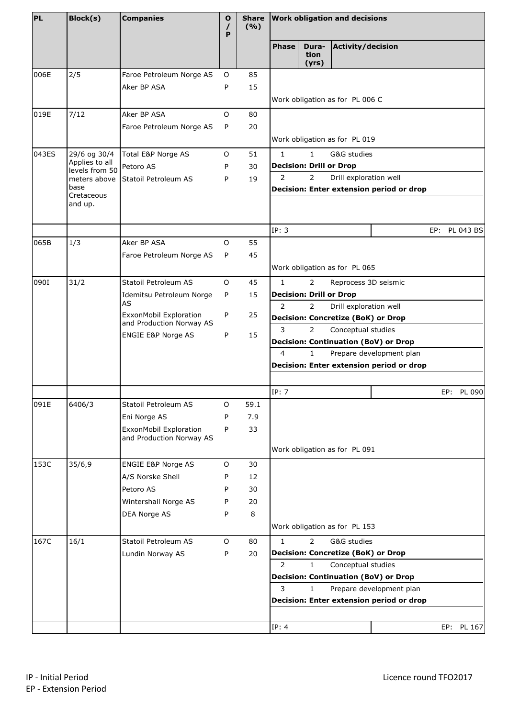| PL    | Block(s)                         | <b>Companies</b>                                   | O<br>P | <b>Share</b><br>(9/6) | <b>Work obligation and decisions</b> |                                |                                           |                                                                         |     |            |
|-------|----------------------------------|----------------------------------------------------|--------|-----------------------|--------------------------------------|--------------------------------|-------------------------------------------|-------------------------------------------------------------------------|-----|------------|
|       |                                  |                                                    |        |                       | <b>Phase</b>                         | Dura-<br>tion<br>(yrs)         | Activity/decision                         |                                                                         |     |            |
| 006E  | 2/5                              | Faroe Petroleum Norge AS                           | O      | 85                    |                                      |                                |                                           |                                                                         |     |            |
|       |                                  | Aker BP ASA                                        | P      | 15                    |                                      |                                |                                           |                                                                         |     |            |
|       |                                  |                                                    |        |                       |                                      |                                | Work obligation as for PL 006 C           |                                                                         |     |            |
| 019E  | 7/12                             | Aker BP ASA                                        | O      | 80                    |                                      |                                |                                           |                                                                         |     |            |
|       |                                  | Faroe Petroleum Norge AS                           | P      | 20                    |                                      |                                |                                           |                                                                         |     |            |
|       |                                  |                                                    |        |                       |                                      |                                | Work obligation as for PL 019             |                                                                         |     |            |
| 043ES | 29/6 og 30/4                     | Total E&P Norge AS                                 | O      | 51                    | $\mathbf{1}$                         | $\mathbf{1}$                   | G&G studies                               |                                                                         |     |            |
|       | Applies to all<br>levels from 50 | Petoro AS                                          | P      | 30                    |                                      | <b>Decision: Drill or Drop</b> |                                           |                                                                         |     |            |
|       |                                  | meters above Statoil Petroleum AS                  | P      | 19                    | 2                                    | $\overline{2}$                 | Drill exploration well                    |                                                                         |     |            |
|       | base<br>Cretaceous<br>and up.    |                                                    |        |                       |                                      |                                |                                           | Decision: Enter extension period or drop                                |     |            |
|       |                                  |                                                    |        |                       | IP: 3                                |                                |                                           |                                                                         | EP: | PL 043 BS  |
| 065B  | 1/3                              | Aker BP ASA                                        | O      | 55                    |                                      |                                |                                           |                                                                         |     |            |
|       |                                  | Faroe Petroleum Norge AS                           | P      | 45                    |                                      |                                |                                           |                                                                         |     |            |
|       |                                  |                                                    |        |                       |                                      |                                | Work obligation as for PL 065             |                                                                         |     |            |
| 10901 | 31/2                             | Statoil Petroleum AS                               | O      | 45                    | $\mathbf{1}$                         | $\overline{2}$                 | Reprocess 3D seismic                      |                                                                         |     |            |
|       |                                  | Idemitsu Petroleum Norge                           | P      | 15                    |                                      | <b>Decision: Drill or Drop</b> |                                           |                                                                         |     |            |
|       |                                  | AS<br>ExxonMobil Exploration                       | P      | 25                    | 2                                    | $\overline{2}$                 | Drill exploration well                    |                                                                         |     |            |
|       |                                  | and Production Norway AS                           |        |                       |                                      |                                | <b>Decision: Concretize (BoK) or Drop</b> |                                                                         |     |            |
|       |                                  | ENGIE E&P Norge AS                                 | P      | 15                    | 3                                    | $\overline{2}$                 | Conceptual studies                        | <b>Decision: Continuation (BoV) or Drop</b>                             |     |            |
|       |                                  |                                                    |        |                       | 4                                    | $\mathbf{1}$                   |                                           | Prepare development plan                                                |     |            |
|       |                                  |                                                    |        |                       |                                      |                                |                                           | Decision: Enter extension period or drop                                |     |            |
|       |                                  |                                                    |        |                       |                                      |                                |                                           |                                                                         |     |            |
|       |                                  |                                                    |        |                       | IP: 7                                |                                |                                           |                                                                         | EP: | PL 090     |
| 091E  | 6406/3                           | Statoil Petroleum AS                               | O      | 59.1                  |                                      |                                |                                           |                                                                         |     |            |
|       |                                  | Eni Norge AS                                       | P      | 7.9                   |                                      |                                |                                           |                                                                         |     |            |
|       |                                  | ExxonMobil Exploration<br>and Production Norway AS | P      | 33                    |                                      |                                |                                           |                                                                         |     |            |
|       |                                  |                                                    |        |                       |                                      |                                | Work obligation as for PL 091             |                                                                         |     |            |
| 153C  | 35/6,9                           | ENGIE E&P Norge AS                                 | O      | 30                    |                                      |                                |                                           |                                                                         |     |            |
|       |                                  | A/S Norske Shell                                   | P      | 12                    |                                      |                                |                                           |                                                                         |     |            |
|       |                                  | Petoro AS                                          | P      | 30                    |                                      |                                |                                           |                                                                         |     |            |
|       |                                  | Wintershall Norge AS                               | P      | 20                    |                                      |                                |                                           |                                                                         |     |            |
|       |                                  | DEA Norge AS                                       | P      | 8                     |                                      |                                |                                           |                                                                         |     |            |
|       |                                  |                                                    |        |                       |                                      |                                | Work obligation as for PL 153             |                                                                         |     |            |
| 167C  | 16/1                             | Statoil Petroleum AS                               | O      | 80                    | $\mathbf{1}$                         | $\overline{2}$                 | G&G studies                               |                                                                         |     |            |
|       |                                  | Lundin Norway AS                                   | P      | 20                    |                                      |                                | <b>Decision: Concretize (BoK) or Drop</b> |                                                                         |     |            |
|       |                                  |                                                    |        |                       | $\overline{2}$                       | $\mathbf{1}$                   | Conceptual studies                        |                                                                         |     |            |
|       |                                  |                                                    |        |                       | 3                                    | $\mathbf{1}$                   |                                           | <b>Decision: Continuation (BoV) or Drop</b><br>Prepare development plan |     |            |
|       |                                  |                                                    |        |                       |                                      |                                |                                           | Decision: Enter extension period or drop                                |     |            |
|       |                                  |                                                    |        |                       |                                      |                                |                                           |                                                                         |     |            |
|       |                                  |                                                    |        |                       | IP: 4                                |                                |                                           |                                                                         |     | EP: PL 167 |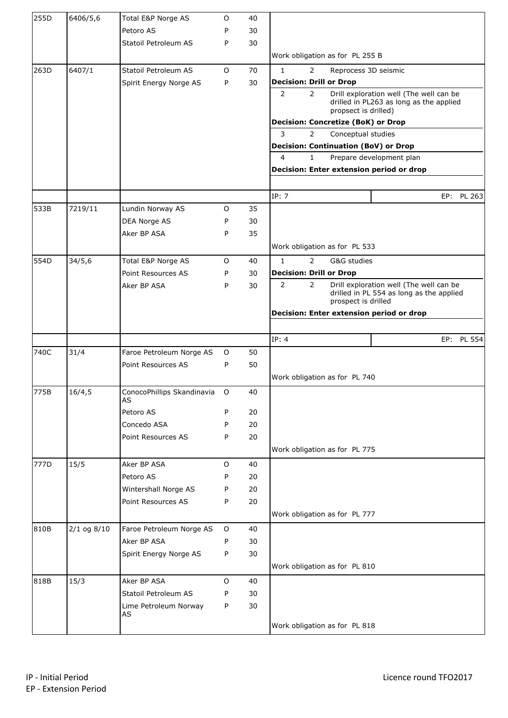| 255D | 6406/5,6        | Total E&P Norge AS               | 0       | 40 |                                                                                                                                                |  |  |  |  |  |
|------|-----------------|----------------------------------|---------|----|------------------------------------------------------------------------------------------------------------------------------------------------|--|--|--|--|--|
|      |                 | Petoro AS                        | P       | 30 |                                                                                                                                                |  |  |  |  |  |
|      |                 | Statoil Petroleum AS             | P       | 30 |                                                                                                                                                |  |  |  |  |  |
|      |                 |                                  |         |    | Work obligation as for PL 255 B                                                                                                                |  |  |  |  |  |
| 263D | 6407/1          | Statoil Petroleum AS             | O       | 70 | $\mathbf{1}$<br>$\mathbf{2}^{\prime}$<br>Reprocess 3D seismic                                                                                  |  |  |  |  |  |
|      |                 | Spirit Energy Norge AS           | P       | 30 | <b>Decision: Drill or Drop</b>                                                                                                                 |  |  |  |  |  |
|      |                 |                                  |         |    | $\overline{2}$<br>$\overline{2}$<br>Drill exploration well (The well can be<br>drilled in PL263 as long as the applied<br>propsect is drilled) |  |  |  |  |  |
|      |                 |                                  |         |    | <b>Decision: Concretize (BoK) or Drop</b>                                                                                                      |  |  |  |  |  |
|      |                 |                                  |         |    | 3<br>$\overline{2}$<br>Conceptual studies                                                                                                      |  |  |  |  |  |
|      |                 |                                  |         |    | <b>Decision: Continuation (BoV) or Drop</b>                                                                                                    |  |  |  |  |  |
|      |                 |                                  |         |    | 4<br>Prepare development plan<br>$\mathbf{1}$                                                                                                  |  |  |  |  |  |
|      |                 |                                  |         |    | Decision: Enter extension period or drop                                                                                                       |  |  |  |  |  |
|      |                 |                                  |         |    |                                                                                                                                                |  |  |  |  |  |
|      |                 |                                  |         |    | IP: 7<br>EP: PL 263                                                                                                                            |  |  |  |  |  |
| 533B | 7219/11         | Lundin Norway AS                 | 0       | 35 |                                                                                                                                                |  |  |  |  |  |
|      |                 | DEA Norge AS                     | P       | 30 |                                                                                                                                                |  |  |  |  |  |
|      |                 | Aker BP ASA                      | P       | 35 |                                                                                                                                                |  |  |  |  |  |
|      |                 |                                  |         |    | Work obligation as for PL 533                                                                                                                  |  |  |  |  |  |
| 554D | 34/5,6          | Total E&P Norge AS               | 0       | 40 | $\mathbf{1}$<br>$\overline{2}$<br>G&G studies                                                                                                  |  |  |  |  |  |
|      |                 | Point Resources AS               | P       | 30 | <b>Decision: Drill or Drop</b>                                                                                                                 |  |  |  |  |  |
|      |                 | Aker BP ASA                      | P       | 30 | $\overline{2}$<br>Drill exploration well (The well can be<br>$\overline{2}$<br>drilled in PL 554 as long as the applied<br>prospect is drilled |  |  |  |  |  |
|      |                 |                                  |         |    | Decision: Enter extension period or drop                                                                                                       |  |  |  |  |  |
|      |                 |                                  |         |    |                                                                                                                                                |  |  |  |  |  |
|      |                 |                                  |         |    | IP: 4<br>EP: PL 554                                                                                                                            |  |  |  |  |  |
| 740C | 31/4            | Faroe Petroleum Norge AS         | O       | 50 |                                                                                                                                                |  |  |  |  |  |
|      |                 | Point Resources AS               | P       | 50 |                                                                                                                                                |  |  |  |  |  |
|      |                 |                                  |         |    | Work obligation as for PL 740                                                                                                                  |  |  |  |  |  |
| 775B | 16/4,5          | ConocoPhillips Skandinavia<br>AS | O       | 40 |                                                                                                                                                |  |  |  |  |  |
|      |                 | Petoro AS                        | P       | 20 |                                                                                                                                                |  |  |  |  |  |
|      |                 | Concedo ASA                      | P       | 20 |                                                                                                                                                |  |  |  |  |  |
|      |                 | Point Resources AS               | P       | 20 |                                                                                                                                                |  |  |  |  |  |
|      |                 |                                  |         |    | Work obligation as for PL 775                                                                                                                  |  |  |  |  |  |
| 777D | 15/5            | Aker BP ASA                      | 0       | 40 |                                                                                                                                                |  |  |  |  |  |
|      |                 | Petoro AS                        | P       | 20 |                                                                                                                                                |  |  |  |  |  |
|      |                 | Wintershall Norge AS             | P       | 20 |                                                                                                                                                |  |  |  |  |  |
|      |                 | Point Resources AS               | P       | 20 |                                                                                                                                                |  |  |  |  |  |
|      |                 |                                  |         |    | Work obligation as for PL 777                                                                                                                  |  |  |  |  |  |
| 810B | $2/1$ og $8/10$ | Faroe Petroleum Norge AS         | $\circ$ | 40 |                                                                                                                                                |  |  |  |  |  |
|      |                 | Aker BP ASA                      | P       | 30 |                                                                                                                                                |  |  |  |  |  |
|      |                 | Spirit Energy Norge AS           | P       | 30 |                                                                                                                                                |  |  |  |  |  |
|      |                 |                                  |         |    | Work obligation as for PL 810                                                                                                                  |  |  |  |  |  |
| 818B | 15/3            | Aker BP ASA                      | 0       | 40 |                                                                                                                                                |  |  |  |  |  |
|      |                 | Statoil Petroleum AS             | P       | 30 |                                                                                                                                                |  |  |  |  |  |
|      |                 | Lime Petroleum Norway            | P       | 30 |                                                                                                                                                |  |  |  |  |  |
|      |                 | AS                               |         |    |                                                                                                                                                |  |  |  |  |  |
|      |                 |                                  |         |    | Work obligation as for PL 818                                                                                                                  |  |  |  |  |  |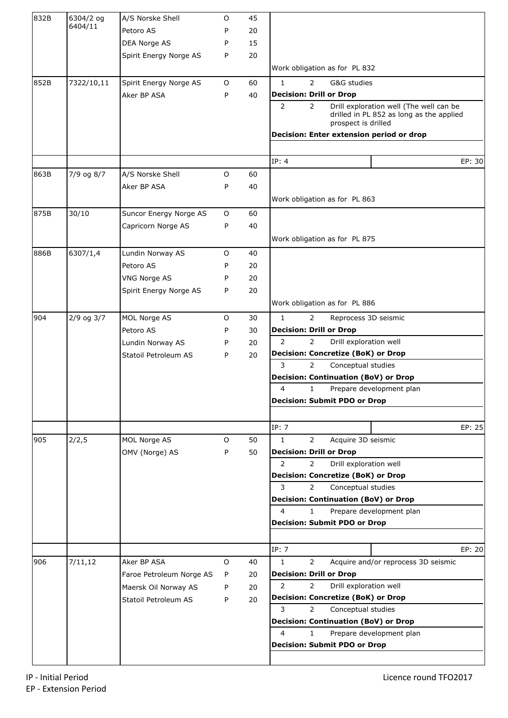| 832B | 6304/2 og      | A/S Norske Shell         | O | 45 |                                                                                                                                                |
|------|----------------|--------------------------|---|----|------------------------------------------------------------------------------------------------------------------------------------------------|
|      | 6404/11        | Petoro AS                | P | 20 |                                                                                                                                                |
|      |                | DEA Norge AS             | P | 15 |                                                                                                                                                |
|      |                | Spirit Energy Norge AS   | P | 20 |                                                                                                                                                |
|      |                |                          |   |    | Work obligation as for PL 832                                                                                                                  |
| 852B | 7322/10,11     | Spirit Energy Norge AS   | O | 60 | $\mathbf{1}$<br>$\overline{2}$<br>G&G studies                                                                                                  |
|      |                | Aker BP ASA              | P | 40 | <b>Decision: Drill or Drop</b>                                                                                                                 |
|      |                |                          |   |    | $\overline{2}$<br>Drill exploration well (The well can be<br>$\overline{2}$<br>drilled in PL 852 as long as the applied<br>prospect is drilled |
|      |                |                          |   |    | Decision: Enter extension period or drop                                                                                                       |
|      |                |                          |   |    |                                                                                                                                                |
|      |                |                          |   |    | IP: 4<br>EP: 30                                                                                                                                |
| 863B | 7/9 og 8/7     | A/S Norske Shell         | O | 60 |                                                                                                                                                |
|      |                | Aker BP ASA              | P | 40 |                                                                                                                                                |
|      |                |                          |   |    | Work obligation as for PL 863                                                                                                                  |
| 875B | 30/10          | Suncor Energy Norge AS   | O | 60 |                                                                                                                                                |
|      |                | Capricorn Norge AS       | P | 40 |                                                                                                                                                |
|      |                |                          |   |    | Work obligation as for PL 875                                                                                                                  |
| 886B | 6307/1,4       | Lundin Norway AS         | O | 40 |                                                                                                                                                |
|      |                | Petoro AS                | P | 20 |                                                                                                                                                |
|      |                | <b>VNG Norge AS</b>      | P | 20 |                                                                                                                                                |
|      |                | Spirit Energy Norge AS   | P | 20 |                                                                                                                                                |
|      |                |                          |   |    | Work obligation as for PL 886                                                                                                                  |
| 904  | $2/9$ og $3/7$ | MOL Norge AS             | O | 30 | $\mathbf{1}$<br>$\overline{2}$<br>Reprocess 3D seismic                                                                                         |
|      |                | Petoro AS                | P | 30 | <b>Decision: Drill or Drop</b>                                                                                                                 |
|      |                | Lundin Norway AS         | P | 20 | $\overline{2}$<br>$\overline{2}$<br>Drill exploration well                                                                                     |
|      |                | Statoil Petroleum AS     | P | 20 | <b>Decision: Concretize (BoK) or Drop</b>                                                                                                      |
|      |                |                          |   |    | 3<br>$\mathbf{2}^{\prime}$<br>Conceptual studies                                                                                               |
|      |                |                          |   |    | <b>Decision: Continuation (BoV) or Drop</b>                                                                                                    |
|      |                |                          |   |    | 4<br>$\mathbf{1}$<br>Prepare development plan                                                                                                  |
|      |                |                          |   |    | <b>Decision: Submit PDO or Drop</b>                                                                                                            |
|      |                |                          |   |    | IP: 7<br>EP: 25                                                                                                                                |
| 905  | 2/2,5          | MOL Norge AS             | O | 50 | $\mathbf{1}$<br>$\mathbf{2}^{\prime}$<br>Acquire 3D seismic                                                                                    |
|      |                | OMV (Norge) AS           | P | 50 | <b>Decision: Drill or Drop</b>                                                                                                                 |
|      |                |                          |   |    | $\overline{2}$<br>$\overline{2}$<br>Drill exploration well                                                                                     |
|      |                |                          |   |    | <b>Decision: Concretize (BoK) or Drop</b>                                                                                                      |
|      |                |                          |   |    | 3<br>$\overline{2}$<br>Conceptual studies                                                                                                      |
|      |                |                          |   |    | <b>Decision: Continuation (BoV) or Drop</b>                                                                                                    |
|      |                |                          |   |    | 4<br>Prepare development plan<br>$\mathbf{1}$                                                                                                  |
|      |                |                          |   |    | <b>Decision: Submit PDO or Drop</b>                                                                                                            |
|      |                |                          |   |    |                                                                                                                                                |
|      |                |                          |   |    | IP: 7<br>EP: 20                                                                                                                                |
| 906  | 7/11,12        | Aker BP ASA              | 0 | 40 | $\mathbf{1}$<br>Acquire and/or reprocess 3D seismic<br>2                                                                                       |
|      |                | Faroe Petroleum Norge AS | P | 20 | <b>Decision: Drill or Drop</b>                                                                                                                 |
|      |                | Maersk Oil Norway AS     | P | 20 | $\overline{2}$<br>Drill exploration well<br>$\overline{2}$                                                                                     |
|      |                | Statoil Petroleum AS     | P | 20 | <b>Decision: Concretize (BoK) or Drop</b><br>3<br>$\overline{2}$<br>Conceptual studies                                                         |
|      |                |                          |   |    | <b>Decision: Continuation (BoV) or Drop</b>                                                                                                    |
|      |                |                          |   |    | 4<br>1<br>Prepare development plan                                                                                                             |
|      |                |                          |   |    | <b>Decision: Submit PDO or Drop</b>                                                                                                            |
|      |                |                          |   |    |                                                                                                                                                |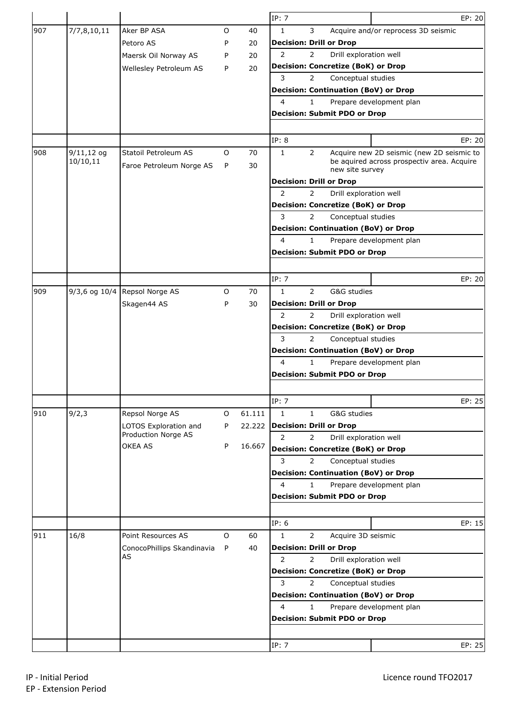|     |                   |                            |   |        | IP: 7          |                |                                             | EP: 20                                     |
|-----|-------------------|----------------------------|---|--------|----------------|----------------|---------------------------------------------|--------------------------------------------|
| 907 | 7/7,8,10,11       | Aker BP ASA                | O | 40     | $\mathbf{1}$   | 3              |                                             | Acquire and/or reprocess 3D seismic        |
|     |                   | Petoro AS                  | P | 20     |                |                | <b>Decision: Drill or Drop</b>              |                                            |
|     |                   | Maersk Oil Norway AS       | P | 20     | $\overline{2}$ | $\overline{2}$ | Drill exploration well                      |                                            |
|     |                   | Wellesley Petroleum AS     | P | 20     |                |                | <b>Decision: Concretize (BoK) or Drop</b>   |                                            |
|     |                   |                            |   |        | 3              | $\overline{2}$ | Conceptual studies                          |                                            |
|     |                   |                            |   |        |                |                | <b>Decision: Continuation (BoV) or Drop</b> |                                            |
|     |                   |                            |   |        | 4              | 1.             |                                             | Prepare development plan                   |
|     |                   |                            |   |        |                |                | <b>Decision: Submit PDO or Drop</b>         |                                            |
|     |                   |                            |   |        |                |                |                                             |                                            |
|     |                   |                            |   |        | IP: 8          |                |                                             | EP: 20                                     |
| 908 | $9/11,12$ og      | Statoil Petroleum AS       | O | 70     | $\mathbf{1}$   | $\overline{2}$ |                                             | Acquire new 2D seismic (new 2D seismic to  |
|     | 10/10,11          | Faroe Petroleum Norge AS   | P | 30     |                |                | new site survey                             | be aquired across prospectiv area. Acquire |
|     |                   |                            |   |        |                |                | <b>Decision: Drill or Drop</b>              |                                            |
|     |                   |                            |   |        | 2              | $\overline{2}$ | Drill exploration well                      |                                            |
|     |                   |                            |   |        |                |                | <b>Decision: Concretize (BoK) or Drop</b>   |                                            |
|     |                   |                            |   |        | 3              | $\overline{2}$ | Conceptual studies                          |                                            |
|     |                   |                            |   |        |                |                | <b>Decision: Continuation (BoV) or Drop</b> |                                            |
|     |                   |                            |   |        | 4              | $\mathbf{1}$   |                                             | Prepare development plan                   |
|     |                   |                            |   |        |                |                | <b>Decision: Submit PDO or Drop</b>         |                                            |
|     |                   |                            |   |        |                |                |                                             |                                            |
|     |                   |                            |   |        | IP: 7          |                |                                             | EP: 20                                     |
| 909 |                   |                            |   |        |                | $\overline{2}$ |                                             |                                            |
|     | $9/3,6$ og $10/4$ | Repsol Norge AS            | O | 70     | 1              |                | G&G studies                                 |                                            |
|     |                   | Skagen44 AS                | P | 30     | $\overline{2}$ | 2              | <b>Decision: Drill or Drop</b>              |                                            |
|     |                   |                            |   |        |                |                | Drill exploration well                      |                                            |
|     |                   |                            |   |        |                |                | <b>Decision: Concretize (BoK) or Drop</b>   |                                            |
|     |                   |                            |   |        | 3              | $\overline{2}$ | Conceptual studies                          |                                            |
|     |                   |                            |   |        |                |                | <b>Decision: Continuation (BoV) or Drop</b> |                                            |
|     |                   |                            |   |        | 4              | $\mathbf{1}$   |                                             | Prepare development plan                   |
|     |                   |                            |   |        |                |                | <b>Decision: Submit PDO or Drop</b>         |                                            |
|     |                   |                            |   |        |                |                |                                             |                                            |
|     |                   |                            |   |        | IP: 7          |                |                                             | EP: 25                                     |
| 910 | 9/2,3             | Repsol Norge AS            | O | 61.111 | $\mathbf{1}$   | $\mathbf{1}$   | G&G studies                                 |                                            |
|     |                   | LOTOS Exploration and      | P | 22.222 |                |                | Decision: Drill or Drop                     |                                            |
|     |                   | Production Norge AS        |   |        | $\overline{2}$ | $\overline{2}$ | Drill exploration well                      |                                            |
|     |                   | OKEA AS                    | P | 16.667 |                |                | <b>Decision: Concretize (BoK) or Drop</b>   |                                            |
|     |                   |                            |   |        | 3              | $\overline{2}$ | Conceptual studies                          |                                            |
|     |                   |                            |   |        |                |                | <b>Decision: Continuation (BoV) or Drop</b> |                                            |
|     |                   |                            |   |        | 4              | 1.             |                                             | Prepare development plan                   |
|     |                   |                            |   |        |                |                | <b>Decision: Submit PDO or Drop</b>         |                                            |
|     |                   |                            |   |        |                |                |                                             |                                            |
|     |                   |                            |   |        | IP: 6          |                |                                             | EP: 15                                     |
| 911 | 16/8              | Point Resources AS         | O | 60     | 1              | $\overline{2}$ | Acquire 3D seismic                          |                                            |
|     |                   | ConocoPhillips Skandinavia | P | 40     |                |                | <b>Decision: Drill or Drop</b>              |                                            |
|     |                   | AS                         |   |        | $\overline{2}$ | $\overline{2}$ | Drill exploration well                      |                                            |
|     |                   |                            |   |        |                |                | <b>Decision: Concretize (BoK) or Drop</b>   |                                            |
|     |                   |                            |   |        | 3              | $\overline{2}$ | Conceptual studies                          |                                            |
|     |                   |                            |   |        |                |                | <b>Decision: Continuation (BoV) or Drop</b> |                                            |
|     |                   |                            |   |        | 4              | 1.             |                                             | Prepare development plan                   |
|     |                   |                            |   |        |                |                | <b>Decision: Submit PDO or Drop</b>         |                                            |
|     |                   |                            |   |        |                |                |                                             |                                            |
|     |                   |                            |   |        | IP: 7          |                |                                             | EP: 25                                     |
|     |                   |                            |   |        |                |                |                                             |                                            |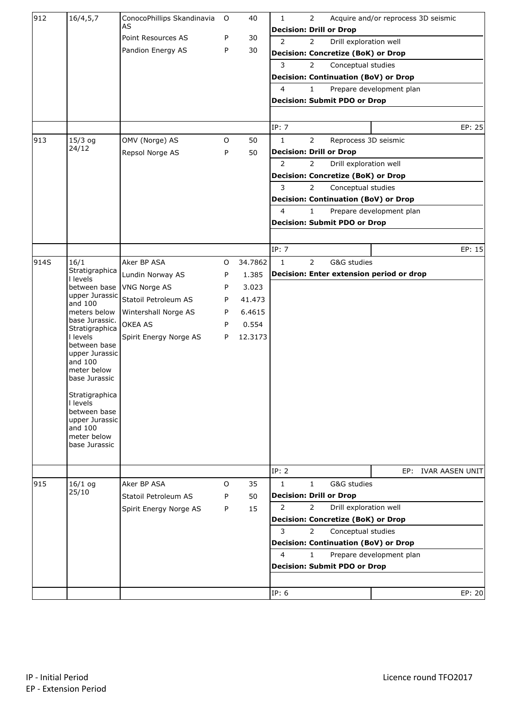| 912  | 16/4, 5, 7                     | ConocoPhillips Skandinavia | O           | 40      | $\mathbf{1}$            | $\overline{2}$ |                                           | Acquire and/or reprocess 3D seismic         |                     |
|------|--------------------------------|----------------------------|-------------|---------|-------------------------|----------------|-------------------------------------------|---------------------------------------------|---------------------|
|      |                                | AS                         |             |         |                         |                | <b>Decision: Drill or Drop</b>            |                                             |                     |
|      |                                | Point Resources AS         | P           | 30      | $\overline{2}$          | $\overline{2}$ | Drill exploration well                    |                                             |                     |
|      |                                | Pandion Energy AS          | P           | 30      |                         |                | <b>Decision: Concretize (BoK) or Drop</b> |                                             |                     |
|      |                                |                            |             |         | 3                       | $\overline{2}$ | Conceptual studies                        |                                             |                     |
|      |                                |                            |             |         |                         |                |                                           | <b>Decision: Continuation (BoV) or Drop</b> |                     |
|      |                                |                            |             |         | 4                       | $\mathbf{1}$   |                                           | Prepare development plan                    |                     |
|      |                                |                            |             |         |                         |                | <b>Decision: Submit PDO or Drop</b>       |                                             |                     |
|      |                                |                            |             |         |                         |                |                                           |                                             |                     |
|      |                                |                            |             |         | IP: 7                   |                |                                           |                                             | EP: 25              |
| 913  | $15/3$ og                      | OMV (Norge) AS             | $\mathsf O$ | 50      | $\mathbf{1}$            | $\overline{2}$ | Reprocess 3D seismic                      |                                             |                     |
|      | 24/12                          | Repsol Norge AS            | P           | 50      |                         |                | <b>Decision: Drill or Drop</b>            |                                             |                     |
|      |                                |                            |             |         | 2                       | $\overline{2}$ | Drill exploration well                    |                                             |                     |
|      |                                |                            |             |         |                         |                | <b>Decision: Concretize (BoK) or Drop</b> |                                             |                     |
|      |                                |                            |             |         | 3                       | $\overline{2}$ | Conceptual studies                        |                                             |                     |
|      |                                |                            |             |         |                         |                |                                           | <b>Decision: Continuation (BoV) or Drop</b> |                     |
|      |                                |                            |             |         | $\overline{\mathbf{4}}$ | $\mathbf{1}$   |                                           | Prepare development plan                    |                     |
|      |                                |                            |             |         |                         |                | <b>Decision: Submit PDO or Drop</b>       |                                             |                     |
|      |                                |                            |             |         |                         |                |                                           |                                             |                     |
|      |                                |                            |             |         | IP: 7                   |                |                                           |                                             | EP: 15              |
| 914S | 16/1                           | Aker BP ASA                | O           | 34.7862 | $\mathbf{1}$            | $\overline{2}$ | G&G studies                               |                                             |                     |
|      | Stratigraphica<br>I levels     | Lundin Norway AS           | P           | 1.385   |                         |                |                                           | Decision: Enter extension period or drop    |                     |
|      | between base                   | VNG Norge AS               | P           | 3.023   |                         |                |                                           |                                             |                     |
|      | upper Jurassic                 | Statoil Petroleum AS       | P           | 41.473  |                         |                |                                           |                                             |                     |
|      | and 100<br>meters below        | Wintershall Norge AS       | P           | 6.4615  |                         |                |                                           |                                             |                     |
|      | base Jurassic.                 | OKEA AS                    | P           | 0.554   |                         |                |                                           |                                             |                     |
|      | Stratigraphica<br>I levels     | Spirit Energy Norge AS     | P           | 12.3173 |                         |                |                                           |                                             |                     |
|      | between base                   |                            |             |         |                         |                |                                           |                                             |                     |
|      | upper Jurassic<br>and 100      |                            |             |         |                         |                |                                           |                                             |                     |
|      | meter below                    |                            |             |         |                         |                |                                           |                                             |                     |
|      | base Jurassic                  |                            |             |         |                         |                |                                           |                                             |                     |
|      | Stratigraphica                 |                            |             |         |                         |                |                                           |                                             |                     |
|      | I levels                       |                            |             |         |                         |                |                                           |                                             |                     |
|      | between base<br>upper Jurassic |                            |             |         |                         |                |                                           |                                             |                     |
|      | and 100                        |                            |             |         |                         |                |                                           |                                             |                     |
|      | meter below<br>base Jurassic   |                            |             |         |                         |                |                                           |                                             |                     |
|      |                                |                            |             |         |                         |                |                                           |                                             |                     |
|      |                                |                            |             |         | IP: 2                   |                |                                           |                                             | EP: IVAR AASEN UNIT |
| 915  | $16/1$ og                      | Aker BP ASA                | 0           | 35      | $\mathbf{1}$            | $\mathbf{1}$   | G&G studies                               |                                             |                     |
|      | 25/10                          | Statoil Petroleum AS       | P           | 50      |                         |                | <b>Decision: Drill or Drop</b>            |                                             |                     |
|      |                                |                            |             |         | 2                       | $\overline{2}$ | Drill exploration well                    |                                             |                     |
|      |                                | Spirit Energy Norge AS     | P           | 15      |                         |                | <b>Decision: Concretize (BoK) or Drop</b> |                                             |                     |
|      |                                |                            |             |         | 3                       | $\overline{2}$ | Conceptual studies                        |                                             |                     |
|      |                                |                            |             |         |                         |                |                                           | <b>Decision: Continuation (BoV) or Drop</b> |                     |
|      |                                |                            |             |         | $\overline{\mathbf{4}}$ | $\mathbf{1}$   |                                           | Prepare development plan                    |                     |
|      |                                |                            |             |         |                         |                | <b>Decision: Submit PDO or Drop</b>       |                                             |                     |
|      |                                |                            |             |         |                         |                |                                           |                                             |                     |
|      |                                |                            |             |         |                         |                |                                           |                                             |                     |
|      |                                |                            |             |         | IP: 6                   |                |                                           |                                             | EP: 20              |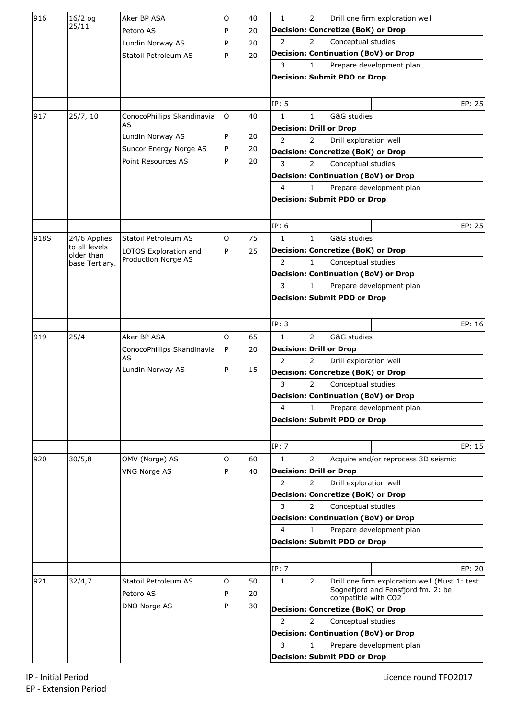| 916  | $16/2$ og                     | Aker BP ASA                                  | O | 40 | $\mathbf{1}$<br>2<br>Drill one firm exploration well                            |
|------|-------------------------------|----------------------------------------------|---|----|---------------------------------------------------------------------------------|
|      | 25/11                         | Petoro AS                                    | P | 20 | <b>Decision: Concretize (BoK) or Drop</b>                                       |
|      |                               | Lundin Norway AS                             | P | 20 | 2<br>Conceptual studies<br>$\mathbf{2}^{\prime}$                                |
|      |                               | Statoil Petroleum AS                         | P | 20 | <b>Decision: Continuation (BoV) or Drop</b>                                     |
|      |                               |                                              |   |    | 3<br>1<br>Prepare development plan                                              |
|      |                               |                                              |   |    | <b>Decision: Submit PDO or Drop</b>                                             |
|      |                               |                                              |   |    |                                                                                 |
|      |                               |                                              |   |    | IP: 5<br>EP: 25                                                                 |
| 917  | 25/7, 10                      | ConocoPhillips Skandinavia                   | O | 40 | G&G studies<br>$\mathbf{1}$<br>$\mathbf{1}$                                     |
|      |                               | AS                                           |   |    | <b>Decision: Drill or Drop</b>                                                  |
|      |                               | Lundin Norway AS                             | P | 20 | 2<br>Drill exploration well<br>2                                                |
|      |                               | Suncor Energy Norge AS                       | P | 20 | <b>Decision: Concretize (BoK) or Drop</b>                                       |
|      |                               | Point Resources AS                           | P | 20 | 3<br>Conceptual studies<br>$\overline{2}$                                       |
|      |                               |                                              |   |    | <b>Decision: Continuation (BoV) or Drop</b>                                     |
|      |                               |                                              |   |    | 4<br>1<br>Prepare development plan                                              |
|      |                               |                                              |   |    | <b>Decision: Submit PDO or Drop</b>                                             |
|      |                               |                                              |   |    |                                                                                 |
|      |                               |                                              |   |    | IP: 6<br>EP: 25                                                                 |
| 918S | 24/6 Applies<br>to all levels | Statoil Petroleum AS                         | 0 | 75 | $\mathbf{1}$<br>$\mathbf{1}$<br>G&G studies                                     |
|      | older than                    | LOTOS Exploration and<br>Production Norge AS | P | 25 | <b>Decision: Concretize (BoK) or Drop</b>                                       |
|      | base Tertiary.                |                                              |   |    | $\overline{2}$<br>$\mathbf{1}$<br>Conceptual studies                            |
|      |                               |                                              |   |    | <b>Decision: Continuation (BoV) or Drop</b>                                     |
|      |                               |                                              |   |    | 3<br>Prepare development plan<br>$\mathbf{1}$                                   |
|      |                               |                                              |   |    | <b>Decision: Submit PDO or Drop</b>                                             |
|      |                               |                                              |   |    |                                                                                 |
|      |                               |                                              |   |    | IP: 3<br>EP: 16                                                                 |
| 919  | 25/4                          | Aker BP ASA                                  | 0 | 65 | $\overline{2}$<br>G&G studies<br>$\mathbf{1}$<br><b>Decision: Drill or Drop</b> |
|      |                               | ConocoPhillips Skandinavia<br>AS             | P | 20 | 2<br>2<br>Drill exploration well                                                |
|      |                               | Lundin Norway AS                             | P | 15 | <b>Decision: Concretize (BoK) or Drop</b>                                       |
|      |                               |                                              |   |    | 3<br>$\overline{2}$<br>Conceptual studies                                       |
|      |                               |                                              |   |    | <b>Decision: Continuation (BoV) or Drop</b>                                     |
|      |                               |                                              |   |    | 4<br>Prepare development plan<br>1                                              |
|      |                               |                                              |   |    | <b>Decision: Submit PDO or Drop</b>                                             |
|      |                               |                                              |   |    |                                                                                 |
|      |                               |                                              |   |    | IP: 7<br>EP: 15                                                                 |
| 920  | 30/5,8                        | OMV (Norge) AS                               | O | 60 | Acquire and/or reprocess 3D seismic<br>$\mathbf{1}$<br>$\overline{2}$           |
|      |                               | <b>VNG Norge AS</b>                          | P | 40 | <b>Decision: Drill or Drop</b>                                                  |
|      |                               |                                              |   |    | 2<br>2<br>Drill exploration well                                                |
|      |                               |                                              |   |    | <b>Decision: Concretize (BoK) or Drop</b>                                       |
|      |                               |                                              |   |    | 3<br>Conceptual studies<br>2                                                    |
|      |                               |                                              |   |    | <b>Decision: Continuation (BoV) or Drop</b>                                     |
|      |                               |                                              |   |    | 4<br>1<br>Prepare development plan                                              |
|      |                               |                                              |   |    | <b>Decision: Submit PDO or Drop</b>                                             |
|      |                               |                                              |   |    |                                                                                 |
|      |                               |                                              |   |    | IP: 7<br>EP: 20                                                                 |
| 921  | 32/4,7                        | Statoil Petroleum AS                         | 0 | 50 | 2<br>Drill one firm exploration well (Must 1: test<br>$\mathbf{1}$              |
|      |                               | Petoro AS                                    | P | 20 | Sognefjord and Fensfjord fm. 2: be<br>compatible with CO2                       |
|      |                               | DNO Norge AS                                 | P | 30 | <b>Decision: Concretize (BoK) or Drop</b>                                       |
|      |                               |                                              |   |    | 2<br>$\overline{2}$<br>Conceptual studies                                       |
|      |                               |                                              |   |    | <b>Decision: Continuation (BoV) or Drop</b>                                     |
|      |                               |                                              |   |    | 3<br>$\mathbf{1}$<br>Prepare development plan                                   |
|      |                               |                                              |   |    | <b>Decision: Submit PDO or Drop</b>                                             |
|      |                               |                                              |   |    |                                                                                 |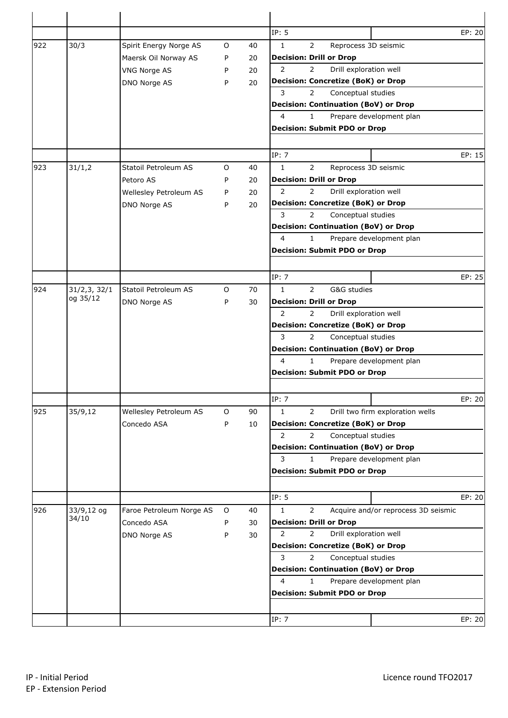|     |               |                          |   |    | IP: 5                                                      | EP: 20 |
|-----|---------------|--------------------------|---|----|------------------------------------------------------------|--------|
| 922 | 30/3          | Spirit Energy Norge AS   | 0 | 40 | $\overline{2}$<br>$\mathbf{1}$<br>Reprocess 3D seismic     |        |
|     |               | Maersk Oil Norway AS     | P | 20 | <b>Decision: Drill or Drop</b>                             |        |
|     |               | VNG Norge AS             | P | 20 | Drill exploration well<br>2<br>2                           |        |
|     |               | DNO Norge AS             | P | 20 | <b>Decision: Concretize (BoK) or Drop</b>                  |        |
|     |               |                          |   |    | 3<br>Conceptual studies<br>$\mathbf{2}^{\prime}$           |        |
|     |               |                          |   |    | <b>Decision: Continuation (BoV) or Drop</b>                |        |
|     |               |                          |   |    | 4<br>$\mathbf{1}$<br>Prepare development plan              |        |
|     |               |                          |   |    | <b>Decision: Submit PDO or Drop</b>                        |        |
|     |               |                          |   |    |                                                            |        |
|     |               |                          |   |    | IP: 7                                                      | EP: 15 |
| 923 | 31/1,2        | Statoil Petroleum AS     | 0 | 40 | $\mathbf{1}$<br>$\overline{2}$<br>Reprocess 3D seismic     |        |
|     |               | Petoro AS                | P | 20 | <b>Decision: Drill or Drop</b>                             |        |
|     |               | Wellesley Petroleum AS   | P | 20 | 2<br>Drill exploration well<br>$\overline{2}$              |        |
|     |               | DNO Norge AS             | P | 20 | <b>Decision: Concretize (BoK) or Drop</b>                  |        |
|     |               |                          |   |    | 3<br>$\overline{2}$<br>Conceptual studies                  |        |
|     |               |                          |   |    | <b>Decision: Continuation (BoV) or Drop</b>                |        |
|     |               |                          |   |    | 4<br>$\mathbf{1}$<br>Prepare development plan              |        |
|     |               |                          |   |    | <b>Decision: Submit PDO or Drop</b>                        |        |
|     |               |                          |   |    |                                                            |        |
|     |               |                          |   |    | IP: 7                                                      | EP: 25 |
| 924 | 31/2, 3, 32/1 | Statoil Petroleum AS     | O | 70 | $\mathbf{1}$<br>$\overline{2}$<br>G&G studies              |        |
|     | og 35/12      | DNO Norge AS             | P | 30 | <b>Decision: Drill or Drop</b>                             |        |
|     |               |                          |   |    | 2<br>Drill exploration well<br>$\overline{2}$              |        |
|     |               |                          |   |    | <b>Decision: Concretize (BoK) or Drop</b>                  |        |
|     |               |                          |   |    | 3<br>$\overline{2}$<br>Conceptual studies                  |        |
|     |               |                          |   |    | <b>Decision: Continuation (BoV) or Drop</b>                |        |
|     |               |                          |   |    | 4<br>$\mathbf{1}$<br>Prepare development plan              |        |
|     |               |                          |   |    | <b>Decision: Submit PDO or Drop</b>                        |        |
|     |               |                          |   |    |                                                            |        |
|     |               |                          |   |    | IP: 7                                                      | EP: 20 |
| 925 | 35/9,12       | Wellesley Petroleum AS   | O | 90 | $\overline{2}$<br>1<br>Drill two firm exploration wells    |        |
|     |               | Concedo ASA              | P | 10 | Decision: Concretize (BoK) or Drop                         |        |
|     |               |                          |   |    | 2<br>Conceptual studies<br>$\overline{2}$                  |        |
|     |               |                          |   |    | <b>Decision: Continuation (BoV) or Drop</b>                |        |
|     |               |                          |   |    | 3<br>1<br>Prepare development plan                         |        |
|     |               |                          |   |    | <b>Decision: Submit PDO or Drop</b>                        |        |
|     |               |                          |   |    |                                                            |        |
|     |               |                          |   |    | IP: 5                                                      | EP: 20 |
| 926 | 33/9,12 og    | Faroe Petroleum Norge AS | 0 | 40 | $\overline{2}$<br>Acquire and/or reprocess 3D seismic<br>1 |        |
|     | 34/10         | Concedo ASA              | P | 30 | <b>Decision: Drill or Drop</b>                             |        |
|     |               | DNO Norge AS             | P | 30 | 2<br>Drill exploration well<br>2                           |        |
|     |               |                          |   |    | <b>Decision: Concretize (BoK) or Drop</b>                  |        |
|     |               |                          |   |    | 3<br>$\overline{2}$<br>Conceptual studies                  |        |
|     |               |                          |   |    | <b>Decision: Continuation (BoV) or Drop</b>                |        |
|     |               |                          |   |    | $\mathbf{1}$<br>4<br>Prepare development plan              |        |
|     |               |                          |   |    | <b>Decision: Submit PDO or Drop</b>                        |        |
|     |               |                          |   |    |                                                            |        |
|     |               |                          |   |    | IP: 7                                                      | EP: 20 |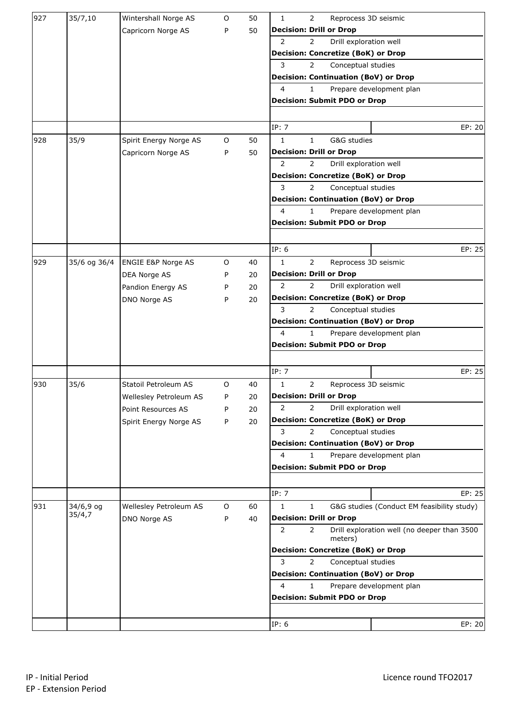| 927 | 35/7,10      | Wintershall Norge AS          | 0       | 50 | $\mathbf 1$<br>$\overline{2}$<br>Reprocess 3D seismic                      |
|-----|--------------|-------------------------------|---------|----|----------------------------------------------------------------------------|
|     |              | Capricorn Norge AS            | P       | 50 | <b>Decision: Drill or Drop</b>                                             |
|     |              |                               |         |    | Drill exploration well<br>$\overline{2}$<br>$\overline{2}$                 |
|     |              |                               |         |    | <b>Decision: Concretize (BoK) or Drop</b>                                  |
|     |              |                               |         |    | 3<br>$\overline{2}$<br>Conceptual studies                                  |
|     |              |                               |         |    | <b>Decision: Continuation (BoV) or Drop</b>                                |
|     |              |                               |         |    | 4<br>Prepare development plan<br>1.                                        |
|     |              |                               |         |    | <b>Decision: Submit PDO or Drop</b>                                        |
|     |              |                               |         |    |                                                                            |
|     |              |                               |         |    | IP: 7<br>EP: 20                                                            |
| 928 | 35/9         | Spirit Energy Norge AS        | O       | 50 | $\mathbf{1}$<br>G&G studies<br>$\mathbf{1}$                                |
|     |              | Capricorn Norge AS            | P       | 50 | <b>Decision: Drill or Drop</b>                                             |
|     |              |                               |         |    | $\overline{2}$<br>$\overline{2}$<br>Drill exploration well                 |
|     |              |                               |         |    | <b>Decision: Concretize (BoK) or Drop</b>                                  |
|     |              |                               |         |    | 3<br>$\overline{2}$<br>Conceptual studies                                  |
|     |              |                               |         |    | <b>Decision: Continuation (BoV) or Drop</b>                                |
|     |              |                               |         |    | 4<br>$\mathbf{1}$<br>Prepare development plan                              |
|     |              |                               |         |    | <b>Decision: Submit PDO or Drop</b>                                        |
|     |              |                               |         |    |                                                                            |
|     |              |                               |         |    | IP: 6<br>EP: 25                                                            |
| 929 | 35/6 og 36/4 | <b>ENGIE E&amp;P Norge AS</b> | 0       | 40 | $\mathbf{1}$<br>$\overline{2}$<br>Reprocess 3D seismic                     |
|     |              | DEA Norge AS                  | P       | 20 | <b>Decision: Drill or Drop</b>                                             |
|     |              | Pandion Energy AS             | P       | 20 | $\overline{2}$<br>$\overline{2}$<br>Drill exploration well                 |
|     |              | DNO Norge AS                  | P       | 20 | <b>Decision: Concretize (BoK) or Drop</b>                                  |
|     |              |                               |         |    | 3<br>Conceptual studies<br>$\overline{2}$                                  |
|     |              |                               |         |    | <b>Decision: Continuation (BoV) or Drop</b>                                |
|     |              |                               |         |    | 4<br>$\mathbf{1}$<br>Prepare development plan                              |
|     |              |                               |         |    | <b>Decision: Submit PDO or Drop</b>                                        |
|     |              |                               |         |    |                                                                            |
|     |              |                               |         |    | IP: 7<br>EP: 25                                                            |
| 930 | 35/6         | Statoil Petroleum AS          | $\circ$ | 40 | $\overline{2}$<br>1<br>Reprocess 3D seismic                                |
|     |              | Wellesley Petroleum AS        | P       | 20 | <b>Decision: Drill or Drop</b>                                             |
|     |              | Point Resources AS            | P       | 20 | 2<br>$\overline{2}$<br>Drill exploration well                              |
|     |              | Spirit Energy Norge AS        | P       | 20 | <b>Decision: Concretize (BoK) or Drop</b>                                  |
|     |              |                               |         |    | 3<br>2<br>Conceptual studies                                               |
|     |              |                               |         |    | <b>Decision: Continuation (BoV) or Drop</b>                                |
|     |              |                               |         |    | 4<br>Prepare development plan<br>$\mathbf{1}$                              |
|     |              |                               |         |    | <b>Decision: Submit PDO or Drop</b>                                        |
|     |              |                               |         |    |                                                                            |
|     |              |                               |         |    | IP: 7<br>EP: 25                                                            |
| 931 | 34/6,9 og    | Wellesley Petroleum AS        | O       | 60 | $\mathbf{1}$<br>G&G studies (Conduct EM feasibility study)<br>$\mathbf{1}$ |
|     | 35/4,7       | DNO Norge AS                  | P       | 40 | <b>Decision: Drill or Drop</b>                                             |
|     |              |                               |         |    | 2<br>2<br>Drill exploration well (no deeper than 3500                      |
|     |              |                               |         |    | meters)<br><b>Decision: Concretize (BoK) or Drop</b>                       |
|     |              |                               |         |    | 3<br>$\overline{2}$<br>Conceptual studies                                  |
|     |              |                               |         |    | <b>Decision: Continuation (BoV) or Drop</b>                                |
|     |              |                               |         |    | 4<br>Prepare development plan<br>1.                                        |
|     |              |                               |         |    | <b>Decision: Submit PDO or Drop</b>                                        |
|     |              |                               |         |    |                                                                            |
|     |              |                               |         |    |                                                                            |
|     |              |                               |         |    | IP: 6<br>EP: 20                                                            |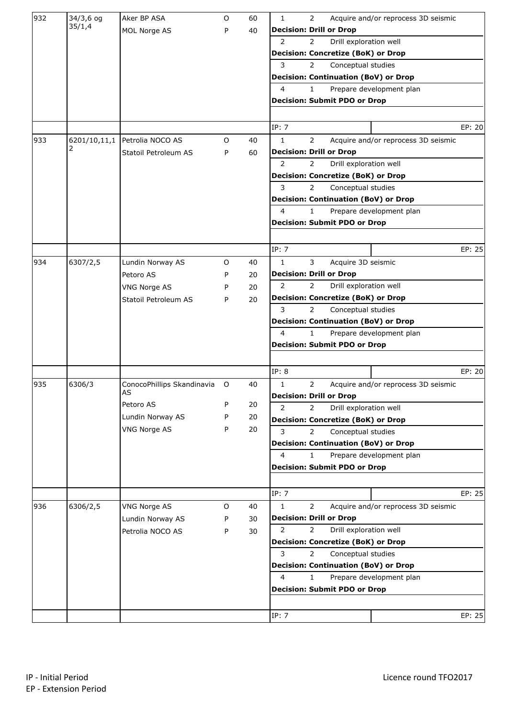| 932 | 34/3,6 og    | Aker BP ASA                | O       | 60 | $\mathbf 1$<br>$\overline{2}$<br>Acquire and/or reprocess 3D seismic  |        |
|-----|--------------|----------------------------|---------|----|-----------------------------------------------------------------------|--------|
|     | 35/1,4       | MOL Norge AS               | P       | 40 | <b>Decision: Drill or Drop</b>                                        |        |
|     |              |                            |         |    | Drill exploration well<br>$\overline{2}$<br>$\overline{2}$            |        |
|     |              |                            |         |    | <b>Decision: Concretize (BoK) or Drop</b>                             |        |
|     |              |                            |         |    | 3<br>$\overline{2}$<br>Conceptual studies                             |        |
|     |              |                            |         |    | <b>Decision: Continuation (BoV) or Drop</b>                           |        |
|     |              |                            |         |    | 4<br>Prepare development plan<br>1.                                   |        |
|     |              |                            |         |    | <b>Decision: Submit PDO or Drop</b>                                   |        |
|     |              |                            |         |    |                                                                       |        |
|     |              |                            |         |    | IP: 7                                                                 | EP: 20 |
| 933 | 6201/10,11,1 | Petrolia NOCO AS           | O       | 40 | $\mathbf{1}$<br>$\overline{2}$<br>Acquire and/or reprocess 3D seismic |        |
|     |              | Statoil Petroleum AS       | P       | 60 | <b>Decision: Drill or Drop</b>                                        |        |
|     |              |                            |         |    | $\overline{2}$<br>Drill exploration well<br>$\overline{2}$            |        |
|     |              |                            |         |    | <b>Decision: Concretize (BoK) or Drop</b>                             |        |
|     |              |                            |         |    | 3<br>$\overline{2}$<br>Conceptual studies                             |        |
|     |              |                            |         |    | <b>Decision: Continuation (BoV) or Drop</b>                           |        |
|     |              |                            |         |    | 4<br>$\mathbf{1}$<br>Prepare development plan                         |        |
|     |              |                            |         |    | <b>Decision: Submit PDO or Drop</b>                                   |        |
|     |              |                            |         |    |                                                                       |        |
|     |              |                            |         |    | IP: 7                                                                 | EP: 25 |
| 934 | 6307/2,5     | Lundin Norway AS           | 0       | 40 | $\mathbf{1}$<br>3<br>Acquire 3D seismic                               |        |
|     |              | Petoro AS                  | P       | 20 | <b>Decision: Drill or Drop</b>                                        |        |
|     |              | <b>VNG Norge AS</b>        | P       | 20 | 2<br>$\overline{2}$<br>Drill exploration well                         |        |
|     |              | Statoil Petroleum AS       | P       | 20 | <b>Decision: Concretize (BoK) or Drop</b>                             |        |
|     |              |                            |         |    | 3<br>$\overline{2}$<br>Conceptual studies                             |        |
|     |              |                            |         |    | <b>Decision: Continuation (BoV) or Drop</b>                           |        |
|     |              |                            |         |    | $\overline{4}$<br>$\mathbf{1}$<br>Prepare development plan            |        |
|     |              |                            |         |    | <b>Decision: Submit PDO or Drop</b>                                   |        |
|     |              |                            |         |    |                                                                       |        |
|     |              |                            |         |    | IP: 8                                                                 | EP: 20 |
| 935 | 6306/3       | ConocoPhillips Skandinavia | $\circ$ | 40 | $\overline{2}$<br>1<br>Acquire and/or reprocess 3D seismic            |        |
|     |              | AS                         |         |    | <b>Decision: Drill or Drop</b>                                        |        |
|     |              | Petoro AS                  | P       | 20 | 2<br>$\overline{2}$<br>Drill exploration well                         |        |
|     |              | Lundin Norway AS           | P       | 20 | <b>Decision: Concretize (BoK) or Drop</b>                             |        |
|     |              | <b>VNG Norge AS</b>        | P       | 20 | 3<br>$\overline{2}$<br>Conceptual studies                             |        |
|     |              |                            |         |    | <b>Decision: Continuation (BoV) or Drop</b>                           |        |
|     |              |                            |         |    | 4<br>Prepare development plan<br>$\mathbf{1}$                         |        |
|     |              |                            |         |    | <b>Decision: Submit PDO or Drop</b>                                   |        |
|     |              |                            |         |    |                                                                       |        |
|     |              |                            |         |    | IP: 7                                                                 | EP: 25 |
| 936 | 6306/2,5     | <b>VNG Norge AS</b>        | $\circ$ | 40 | $\mathbf{1}$<br>$\overline{2}$<br>Acquire and/or reprocess 3D seismic |        |
|     |              | Lundin Norway AS           | P       | 30 | <b>Decision: Drill or Drop</b>                                        |        |
|     |              |                            |         |    | 2<br>Drill exploration well<br>$\overline{2}$                         |        |
|     |              | Petrolia NOCO AS           | P       | 30 | <b>Decision: Concretize (BoK) or Drop</b>                             |        |
|     |              |                            |         |    | 3<br>$\overline{2}$<br>Conceptual studies                             |        |
|     |              |                            |         |    | <b>Decision: Continuation (BoV) or Drop</b>                           |        |
|     |              |                            |         |    | 4<br>Prepare development plan<br>$\mathbf{1}$                         |        |
|     |              |                            |         |    | <b>Decision: Submit PDO or Drop</b>                                   |        |
|     |              |                            |         |    |                                                                       |        |
|     |              |                            |         |    |                                                                       |        |
|     |              |                            |         |    | IP: 7                                                                 | EP: 25 |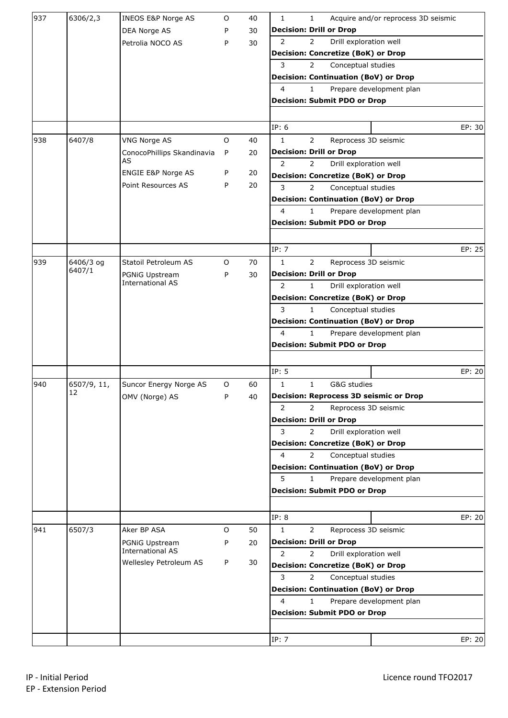| 937 | 6306/2,3            | <b>INEOS E&amp;P Norge AS</b>             | O       | 40 | 1<br>Acquire and/or reprocess 3D seismic<br>1              |        |
|-----|---------------------|-------------------------------------------|---------|----|------------------------------------------------------------|--------|
|     |                     | DEA Norge AS                              | P       | 30 | <b>Decision: Drill or Drop</b>                             |        |
|     |                     | Petrolia NOCO AS                          | P       | 30 | $\overline{2}$<br>Drill exploration well<br>$\overline{2}$ |        |
|     |                     |                                           |         |    | <b>Decision: Concretize (BoK) or Drop</b>                  |        |
|     |                     |                                           |         |    | 3<br>$\overline{2}$<br>Conceptual studies                  |        |
|     |                     |                                           |         |    | <b>Decision: Continuation (BoV) or Drop</b>                |        |
|     |                     |                                           |         |    | 4<br>$\mathbf{1}$<br>Prepare development plan              |        |
|     |                     |                                           |         |    | <b>Decision: Submit PDO or Drop</b>                        |        |
|     |                     |                                           |         |    |                                                            |        |
|     |                     |                                           |         |    | IP: 6                                                      | EP: 30 |
| 938 | 6407/8              | <b>VNG Norge AS</b>                       | $\circ$ | 40 | $\mathbf{1}$<br>$\overline{2}$<br>Reprocess 3D seismic     |        |
|     |                     | ConocoPhillips Skandinavia                | P       | 20 | <b>Decision: Drill or Drop</b>                             |        |
|     |                     | AS                                        |         |    | $\overline{2}$<br>Drill exploration well<br>$\overline{2}$ |        |
|     |                     | ENGIE E&P Norge AS                        | P       | 20 | <b>Decision: Concretize (BoK) or Drop</b>                  |        |
|     |                     | Point Resources AS                        | P       | 20 | 3<br>$\overline{2}$<br>Conceptual studies                  |        |
|     |                     |                                           |         |    | <b>Decision: Continuation (BoV) or Drop</b>                |        |
|     |                     |                                           |         |    | 4<br>$\mathbf{1}$<br>Prepare development plan              |        |
|     |                     |                                           |         |    | <b>Decision: Submit PDO or Drop</b>                        |        |
|     |                     |                                           |         |    |                                                            |        |
|     |                     |                                           |         |    |                                                            | EP: 25 |
|     |                     |                                           |         |    | IP: 7                                                      |        |
| 939 | 6406/3 og<br>6407/1 | Statoil Petroleum AS                      | $\circ$ | 70 | $\mathbf{1}$<br>$\overline{2}$<br>Reprocess 3D seismic     |        |
|     |                     | PGNiG Upstream<br><b>International AS</b> | P       | 30 | <b>Decision: Drill or Drop</b>                             |        |
|     |                     |                                           |         |    | 2<br>Drill exploration well<br>$\mathbf{1}$                |        |
|     |                     |                                           |         |    | <b>Decision: Concretize (BoK) or Drop</b>                  |        |
|     |                     |                                           |         |    | 3<br>$\mathbf{1}$<br>Conceptual studies                    |        |
|     |                     |                                           |         |    | <b>Decision: Continuation (BoV) or Drop</b>                |        |
|     |                     |                                           |         |    | 4<br>$\mathbf{1}$<br>Prepare development plan              |        |
|     |                     |                                           |         |    | <b>Decision: Submit PDO or Drop</b>                        |        |
|     |                     |                                           |         |    |                                                            |        |
|     |                     |                                           |         |    | IP: 5                                                      | EP: 20 |
| 940 | 6507/9, 11,         | Suncor Energy Norge AS                    | O       | 60 | $\mathbf{1}$<br>$\mathbf{1}$<br>G&G studies                |        |
|     | 12                  | OMV (Norge) AS                            | P       | 40 | <b>Decision: Reprocess 3D seismic or Drop</b>              |        |
|     |                     |                                           |         |    | 2<br>$\overline{2}$<br>Reprocess 3D seismic                |        |
|     |                     |                                           |         |    | <b>Decision: Drill or Drop</b>                             |        |
|     |                     |                                           |         |    | 3<br>$\overline{2}$<br>Drill exploration well              |        |
|     |                     |                                           |         |    | <b>Decision: Concretize (BoK) or Drop</b>                  |        |
|     |                     |                                           |         |    | 4<br>$\overline{2}$<br>Conceptual studies                  |        |
|     |                     |                                           |         |    | <b>Decision: Continuation (BoV) or Drop</b>                |        |
|     |                     |                                           |         |    | 5<br>1<br>Prepare development plan                         |        |
|     |                     |                                           |         |    | <b>Decision: Submit PDO or Drop</b>                        |        |
|     |                     |                                           |         |    |                                                            |        |
|     |                     |                                           |         |    | IP: 8                                                      | EP: 20 |
| 941 | 6507/3              | Aker BP ASA                               | 0       | 50 | Reprocess 3D seismic<br>1<br>2                             |        |
|     |                     | PGNiG Upstream                            | P       | 20 | <b>Decision: Drill or Drop</b>                             |        |
|     |                     | <b>International AS</b>                   |         |    | $\overline{2}$<br>Drill exploration well<br>$\overline{2}$ |        |
|     |                     | Wellesley Petroleum AS                    | P       | 30 | <b>Decision: Concretize (BoK) or Drop</b>                  |        |
|     |                     |                                           |         |    | 3<br>$\overline{2}$<br>Conceptual studies                  |        |
|     |                     |                                           |         |    | <b>Decision: Continuation (BoV) or Drop</b>                |        |
|     |                     |                                           |         |    | 4<br>$\mathbf{1}$<br>Prepare development plan              |        |
|     |                     |                                           |         |    | <b>Decision: Submit PDO or Drop</b>                        |        |
|     |                     |                                           |         |    |                                                            |        |
|     |                     |                                           |         |    |                                                            |        |
|     |                     |                                           |         |    | IP: 7                                                      | EP: 20 |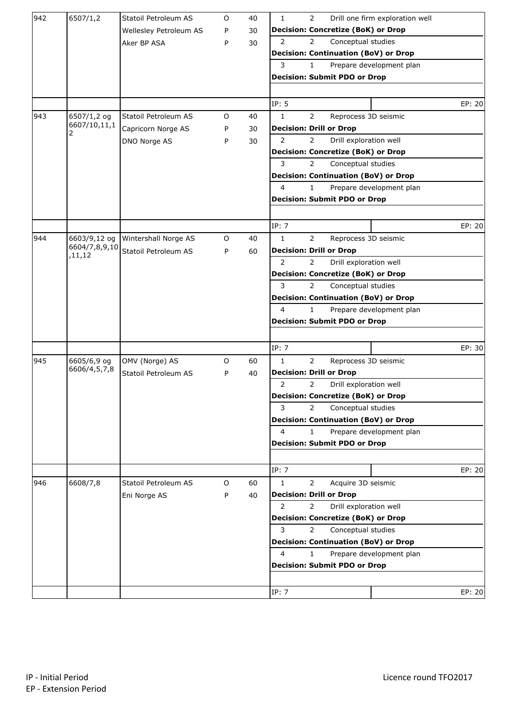| 942 | 6507/1,2                    | Statoil Petroleum AS   | O | 40 | 2<br>Drill one firm exploration well<br>$\mathbf{1}$                            |        |
|-----|-----------------------------|------------------------|---|----|---------------------------------------------------------------------------------|--------|
|     |                             | Wellesley Petroleum AS | P | 30 | <b>Decision: Concretize (BoK) or Drop</b>                                       |        |
|     |                             | Aker BP ASA            | P | 30 | $\overline{2}$<br>Conceptual studies<br>2                                       |        |
|     |                             |                        |   |    | <b>Decision: Continuation (BoV) or Drop</b>                                     |        |
|     |                             |                        |   |    | 3<br>$\mathbf{1}$<br>Prepare development plan                                   |        |
|     |                             |                        |   |    | <b>Decision: Submit PDO or Drop</b>                                             |        |
|     |                             |                        |   |    |                                                                                 |        |
|     |                             |                        |   |    | IP: 5                                                                           | EP: 20 |
| 943 | 6507/1,2 og                 | Statoil Petroleum AS   | O | 40 | $\overline{2}$<br>$\mathbf{1}$<br>Reprocess 3D seismic                          |        |
|     | 6607/10,11,1                | Capricorn Norge AS     | P | 30 | <b>Decision: Drill or Drop</b>                                                  |        |
|     | 2                           | DNO Norge AS           | P | 30 | Drill exploration well<br>2<br>2                                                |        |
|     |                             |                        |   |    | <b>Decision: Concretize (BoK) or Drop</b>                                       |        |
|     |                             |                        |   |    | 3<br>$\overline{2}$<br>Conceptual studies                                       |        |
|     |                             |                        |   |    | <b>Decision: Continuation (BoV) or Drop</b>                                     |        |
|     |                             |                        |   |    | 4<br>$\mathbf{1}$<br>Prepare development plan                                   |        |
|     |                             |                        |   |    | <b>Decision: Submit PDO or Drop</b>                                             |        |
|     |                             |                        |   |    |                                                                                 |        |
|     |                             |                        |   |    | IP: 7                                                                           | EP: 20 |
| 944 | 6603/9,12 og                | Wintershall Norge AS   | O | 40 | $\overline{2}$<br>$\mathbf{1}$<br>Reprocess 3D seismic                          |        |
|     | 6604/7,8,9,10               | Statoil Petroleum AS   | P | 60 | <b>Decision: Drill or Drop</b>                                                  |        |
|     | ,11,12                      |                        |   |    | $\overline{2}$<br>Drill exploration well<br>2                                   |        |
|     |                             |                        |   |    | <b>Decision: Concretize (BoK) or Drop</b>                                       |        |
|     |                             |                        |   |    | 3<br>$\overline{2}$<br>Conceptual studies                                       |        |
|     |                             |                        |   |    | <b>Decision: Continuation (BoV) or Drop</b>                                     |        |
|     |                             |                        |   |    | 4<br>$\mathbf{1}$<br>Prepare development plan                                   |        |
|     |                             |                        |   |    | <b>Decision: Submit PDO or Drop</b>                                             |        |
|     |                             |                        |   |    |                                                                                 |        |
|     |                             |                        |   |    | IP: 7                                                                           | EP: 30 |
|     |                             |                        |   |    |                                                                                 |        |
| 945 | 6605/6,9 og<br>6606/4,5,7,8 | OMV (Norge) AS         | 0 | 60 | $\overline{2}$<br>$\mathbf{1}$<br>Reprocess 3D seismic                          |        |
|     |                             | Statoil Petroleum AS   | P | 40 | <b>Decision: Drill or Drop</b><br>2                                             |        |
|     |                             |                        |   |    | 2<br>Drill exploration well                                                     |        |
|     |                             |                        |   |    | <b>Decision: Concretize (BoK) or Drop</b><br>$\overline{2}$                     |        |
|     |                             |                        |   |    | 3<br>Conceptual studies                                                         |        |
|     |                             |                        |   |    | <b>Decision: Continuation (BoV) or Drop</b><br>4                                |        |
|     |                             |                        |   |    | Prepare development plan<br>$\mathbf{1}$                                        |        |
|     |                             |                        |   |    | <b>Decision: Submit PDO or Drop</b>                                             |        |
|     |                             |                        |   |    |                                                                                 |        |
|     |                             |                        |   |    | IP: 7                                                                           | EP: 20 |
| 946 | 6608/7,8                    | Statoil Petroleum AS   | O | 60 | $\mathbf{1}$<br>$\overline{2}$<br>Acquire 3D seismic                            |        |
|     |                             | Eni Norge AS           | P | 40 | <b>Decision: Drill or Drop</b><br>2<br>$\overline{2}$<br>Drill exploration well |        |
|     |                             |                        |   |    |                                                                                 |        |
|     |                             |                        |   |    | <b>Decision: Concretize (BoK) or Drop</b><br>3                                  |        |
|     |                             |                        |   |    | $\overline{2}$<br>Conceptual studies                                            |        |
|     |                             |                        |   |    | <b>Decision: Continuation (BoV) or Drop</b><br>$\overline{4}$                   |        |
|     |                             |                        |   |    | $\mathbf{1}$<br>Prepare development plan                                        |        |
|     |                             |                        |   |    | <b>Decision: Submit PDO or Drop</b>                                             |        |
|     |                             |                        |   |    |                                                                                 |        |
|     |                             |                        |   |    | IP: 7                                                                           | EP: 20 |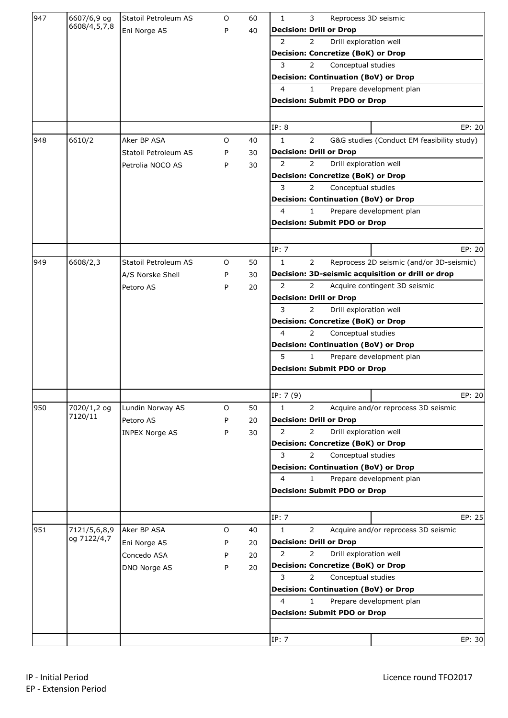| 947 | 6607/6,9 og  | Statoil Petroleum AS  | O | 60 | 1<br>3<br>Reprocess 3D seismic                                               |
|-----|--------------|-----------------------|---|----|------------------------------------------------------------------------------|
|     | 6608/4,5,7,8 | Eni Norge AS          | P | 40 | <b>Decision: Drill or Drop</b>                                               |
|     |              |                       |   |    | $\overline{2}$<br>Drill exploration well<br>$\overline{2}$                   |
|     |              |                       |   |    | <b>Decision: Concretize (BoK) or Drop</b>                                    |
|     |              |                       |   |    | 3<br>$\overline{2}$<br>Conceptual studies                                    |
|     |              |                       |   |    | <b>Decision: Continuation (BoV) or Drop</b>                                  |
|     |              |                       |   |    | $\overline{4}$<br>$\mathbf{1}$<br>Prepare development plan                   |
|     |              |                       |   |    | <b>Decision: Submit PDO or Drop</b>                                          |
|     |              |                       |   |    |                                                                              |
|     |              |                       |   |    | IP: 8<br>EP: 20                                                              |
| 948 | 6610/2       | Aker BP ASA           | O | 40 | $\mathbf{1}$<br>$\overline{2}$<br>G&G studies (Conduct EM feasibility study) |
|     |              | Statoil Petroleum AS  | P | 30 | <b>Decision: Drill or Drop</b>                                               |
|     |              | Petrolia NOCO AS      | P | 30 | $\overline{2}$<br>Drill exploration well<br>$\overline{2}$                   |
|     |              |                       |   |    | <b>Decision: Concretize (BoK) or Drop</b>                                    |
|     |              |                       |   |    | 3<br>$\overline{2}$<br>Conceptual studies                                    |
|     |              |                       |   |    | <b>Decision: Continuation (BoV) or Drop</b>                                  |
|     |              |                       |   |    | $\overline{4}$<br>$\mathbf{1}$<br>Prepare development plan                   |
|     |              |                       |   |    | <b>Decision: Submit PDO or Drop</b>                                          |
|     |              |                       |   |    |                                                                              |
|     |              |                       |   |    | IP: 7<br>EP: 20                                                              |
| 949 | 6608/2,3     | Statoil Petroleum AS  | O | 50 | $\mathbf{1}$<br>$\overline{2}$<br>Reprocess 2D seismic (and/or 3D-seismic)   |
|     |              | A/S Norske Shell      | P | 30 | Decision: 3D-seismic acquisition or drill or drop                            |
|     |              |                       |   |    | 2<br>$\overline{2}$<br>Acquire contingent 3D seismic                         |
|     |              | Petoro AS             | P | 20 | <b>Decision: Drill or Drop</b>                                               |
|     |              |                       |   |    | 3<br>$\overline{2}$                                                          |
|     |              |                       |   |    | Drill exploration well                                                       |
|     |              |                       |   |    | <b>Decision: Concretize (BoK) or Drop</b>                                    |
|     |              |                       |   |    | 4<br>$\overline{2}$<br>Conceptual studies                                    |
|     |              |                       |   |    | <b>Decision: Continuation (BoV) or Drop</b>                                  |
|     |              |                       |   |    | 5<br>Prepare development plan<br>$\mathbf{1}$                                |
|     |              |                       |   |    | <b>Decision: Submit PDO or Drop</b>                                          |
|     |              |                       |   |    | IP: 7(9)<br>EP: 20                                                           |
| 950 | 7020/1,2 og  | Lundin Norway AS      | O | 50 | 1<br>$\overline{2}$<br>Acquire and/or reprocess 3D seismic                   |
|     | 7120/11      | Petoro AS             | P | 20 | <b>Decision: Drill or Drop</b>                                               |
|     |              | <b>INPEX Norge AS</b> |   | 30 | 2<br>Drill exploration well<br>$\overline{2}$                                |
|     |              |                       | P |    | <b>Decision: Concretize (BoK) or Drop</b>                                    |
|     |              |                       |   |    | 3<br>$\overline{2}$<br>Conceptual studies                                    |
|     |              |                       |   |    | <b>Decision: Continuation (BoV) or Drop</b>                                  |
|     |              |                       |   |    | 4<br>Prepare development plan<br>1                                           |
|     |              |                       |   |    | <b>Decision: Submit PDO or Drop</b>                                          |
|     |              |                       |   |    |                                                                              |
|     |              |                       |   |    | IP: 7<br>EP: 25                                                              |
| 951 | 7121/5,6,8,9 | Aker BP ASA           | O | 40 | Acquire and/or reprocess 3D seismic<br>1<br>2                                |
|     | og 7122/4,7  | Eni Norge AS          | P | 20 | <b>Decision: Drill or Drop</b>                                               |
|     |              |                       |   |    | 2<br>Drill exploration well<br>$\overline{2}$                                |
|     |              | Concedo ASA           | P | 20 | <b>Decision: Concretize (BoK) or Drop</b>                                    |
|     |              | DNO Norge AS          | P | 20 | 3<br>$\overline{2}$<br>Conceptual studies                                    |
|     |              |                       |   |    |                                                                              |
|     |              |                       |   |    | <b>Decision: Continuation (BoV) or Drop</b>                                  |
|     |              |                       |   |    | 4<br>$\mathbf{1}$<br>Prepare development plan                                |
|     |              |                       |   |    | <b>Decision: Submit PDO or Drop</b>                                          |
|     |              |                       |   |    |                                                                              |
|     |              |                       |   |    | IP: 7<br>EP: 30                                                              |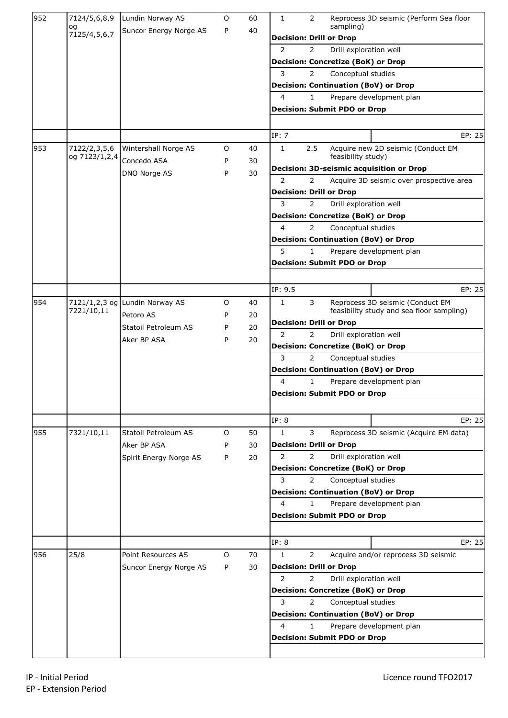| 952 | 7124/5,6,8,9                  | Lundin Norway AS               | 0       | 60 | $\overline{2}$<br>Reprocess 3D seismic (Perform Sea floor<br>1               |
|-----|-------------------------------|--------------------------------|---------|----|------------------------------------------------------------------------------|
|     | og<br>7125/4,5,6,7            | Suncor Energy Norge AS         | P       | 40 | sampling)                                                                    |
|     |                               |                                |         |    | <b>Decision: Drill or Drop</b>                                               |
|     |                               |                                |         |    | 2<br>Drill exploration well<br>$\overline{2}$                                |
|     |                               |                                |         |    | <b>Decision: Concretize (BoK) or Drop</b>                                    |
|     |                               |                                |         |    | 3<br>$\overline{2}$<br>Conceptual studies                                    |
|     |                               |                                |         |    | <b>Decision: Continuation (BoV) or Drop</b>                                  |
|     |                               |                                |         |    | 4<br>$\mathbf{1}$<br>Prepare development plan                                |
|     |                               |                                |         |    | <b>Decision: Submit PDO or Drop</b>                                          |
|     |                               |                                |         |    |                                                                              |
|     |                               |                                |         |    | IP: 7<br>EP: 25                                                              |
| 953 | 7122/2,3,5,6<br>og 7123/1,2,4 | Wintershall Norge AS           | O       | 40 | Acquire new 2D seismic (Conduct EM<br>1<br>2.5<br>feasibility study)         |
|     |                               | Concedo ASA                    | P       | 30 | Decision: 3D-seismic acquisition or Drop                                     |
|     |                               | DNO Norge AS                   | P       | 30 | $\overline{2}$<br>$\overline{2}$<br>Acquire 3D seismic over prospective area |
|     |                               |                                |         |    | <b>Decision: Drill or Drop</b>                                               |
|     |                               |                                |         |    | 3<br>$\overline{2}$<br>Drill exploration well                                |
|     |                               |                                |         |    | <b>Decision: Concretize (BoK) or Drop</b>                                    |
|     |                               |                                |         |    | 4<br>$\overline{2}$<br>Conceptual studies                                    |
|     |                               |                                |         |    | <b>Decision: Continuation (BoV) or Drop</b>                                  |
|     |                               |                                |         |    | 5<br>$\mathbf{1}$<br>Prepare development plan                                |
|     |                               |                                |         |    | <b>Decision: Submit PDO or Drop</b>                                          |
|     |                               |                                |         |    |                                                                              |
|     |                               |                                |         |    | EP: 25<br>IP: 9.5                                                            |
| 954 |                               | 7121/1,2,3 og Lundin Norway AS | $\circ$ | 40 | Reprocess 3D seismic (Conduct EM<br>$\mathbf{1}$<br>3                        |
|     | 7221/10,11                    |                                |         |    | feasibility study and sea floor sampling)                                    |
|     |                               | Petoro AS                      | P       | 20 | <b>Decision: Drill or Drop</b>                                               |
|     |                               | Statoil Petroleum AS           | P       | 20 | $\overline{2}$<br>$\overline{2}$<br>Drill exploration well                   |
|     |                               | Aker BP ASA                    | P       | 20 | <b>Decision: Concretize (BoK) or Drop</b>                                    |
|     |                               |                                |         |    | 3<br>$\overline{2}$<br>Conceptual studies                                    |
|     |                               |                                |         |    | <b>Decision: Continuation (BoV) or Drop</b>                                  |
|     |                               |                                |         |    | 4<br>$\mathbf{1}$<br>Prepare development plan                                |
|     |                               |                                |         |    | <b>Decision: Submit PDO or Drop</b>                                          |
|     |                               |                                |         |    |                                                                              |
|     |                               |                                |         |    | IP: 8<br>EP: 25                                                              |
| 955 | 7321/10,11                    | Statoil Petroleum AS           | 0       | 50 | 3<br>$\mathbf 1$<br>Reprocess 3D seismic (Acquire EM data)                   |
|     |                               | Aker BP ASA                    | P       | 30 | <b>Decision: Drill or Drop</b>                                               |
|     |                               | Spirit Energy Norge AS         | P       | 20 | Drill exploration well<br>2<br>$\overline{2}$                                |
|     |                               |                                |         |    | <b>Decision: Concretize (BoK) or Drop</b>                                    |
|     |                               |                                |         |    | 3<br>$\overline{2}$<br>Conceptual studies                                    |
|     |                               |                                |         |    | <b>Decision: Continuation (BoV) or Drop</b>                                  |
|     |                               |                                |         |    | 4<br>Prepare development plan<br>1                                           |
|     |                               |                                |         |    | <b>Decision: Submit PDO or Drop</b>                                          |
|     |                               |                                |         |    |                                                                              |
|     |                               |                                |         |    | IP: 8<br>EP: 25                                                              |
| 956 | 25/8                          | Point Resources AS             | $\circ$ | 70 | $\mathbf{1}$<br>$\overline{2}$<br>Acquire and/or reprocess 3D seismic        |
|     |                               | Suncor Energy Norge AS         | P       | 30 | <b>Decision: Drill or Drop</b>                                               |
|     |                               |                                |         |    | 2<br>Drill exploration well<br>$\overline{2}$                                |
|     |                               |                                |         |    | <b>Decision: Concretize (BoK) or Drop</b>                                    |
|     |                               |                                |         |    | 3<br>$\overline{2}$<br>Conceptual studies                                    |
|     |                               |                                |         |    | <b>Decision: Continuation (BoV) or Drop</b>                                  |
|     |                               |                                |         |    | 4<br>Prepare development plan<br>$\mathbf{1}$                                |
|     |                               |                                |         |    | <b>Decision: Submit PDO or Drop</b>                                          |
|     |                               |                                |         |    |                                                                              |